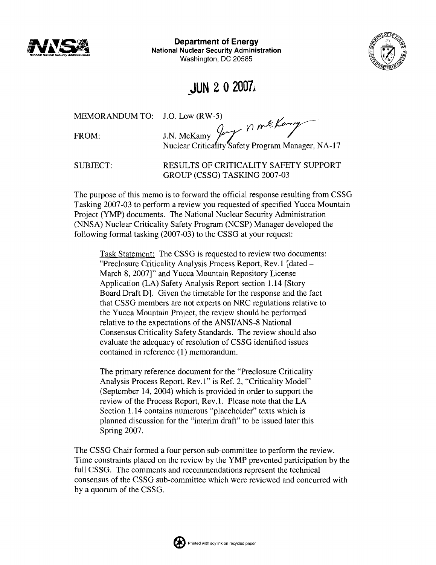

**Department of Energy National Nuclear Security Administration**  Washington, **DC** 20585



# JUN **2 0** 2007,

FROM:

MEMORANDUM TO: J.O. Low (RW-5)<br>FROM: J.N. McKamy  $\begin{matrix} 0 & \mathcal{N} \\ \mathcal{N} \\ \mathcal{N} \end{matrix}$  The Kamp Safety Program Manager, NA-17

SUBJECT: RESULTS OF CRITICALITY SAFETY SUPPORT GROUP (CSSG) TASKING 2007-03

The purpose of this memo is to forward the official response resulting from CSSG Tasking 2007-03 to perform a review you requested of specified Yucca Mountain Project (YMP) documents. The National Nuclear Security Administration (NNSA) Nuclear Criticality Safety Program (NCSP) Manager developed the following formal tasking  $(2007-03)$  to the CSSG at your request:

Task Statement: The CSSG is requested to review two documents: "Preclosure Criticality Analysis Process Report, Rev. 1 [dated - March 8,20071'' and Yucca Mountain Repository License Application (LA) Safety Analysis Report section 1.14 [Story Board Draft Dl. Given the timetable for the response and the fact that CSSG members are not experts on NRC regulations relative to the Yucca Mountain Project, the review should be performed relative to the expectations of the ANSIIANS-8 National Consensus Criticality Safety Standards. The review should also evaluate the adequacy of resolution of CSSG identified issues contained in reference (1) memorandum.

The primary reference document for the "Preclosure Criticality Analysis Process Report, Rev. 1" is Ref. 2, "Criticality Model" (September 14,2004) which is provided in order to support the review of the Process Report, Rev. 1. Please note that the LA Section 1.14 contains numerous "placeholder" texts which is planned discussion for the "interim draft" to be issued later this Spring 2007.

The CSSG Chair formed a four person sub-committee to perform the review. Time constraints placed on the review by the YMP prevented participation by the full CSSG. The comments and recommendations represent the technical consensus of the CSSG sub-committee which were reviewed and concurred with by a quorum of the CSSG.

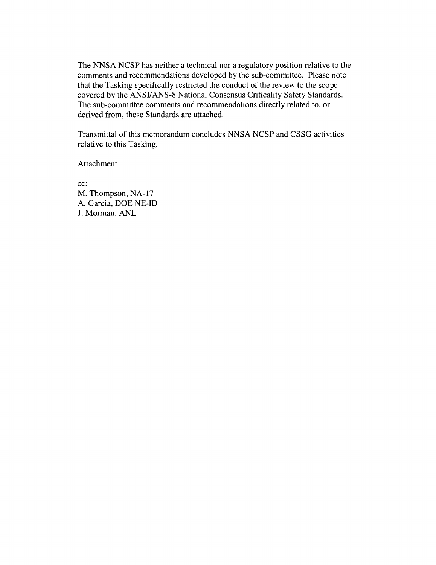The NNSA NCSP has neither a technical nor a regulatory position relative to the comments and recommendations developed by the sub-committee. Please note that the Tasking specifically restricted the conduct of the review to the scope covered by the ANSYANS-8 National Consensus Criticality Safety Standards. The sub-committee comments and recommendations directly related to, or derived from, these Standards are attached.

Transmittal of this memorandum concludes NNSA NCSP and CSSG activities relative to this Tasking.

Attachment

cc: M. Thompson, NA-17 A. Garcia, DOE NE-ID J. Morman, ANL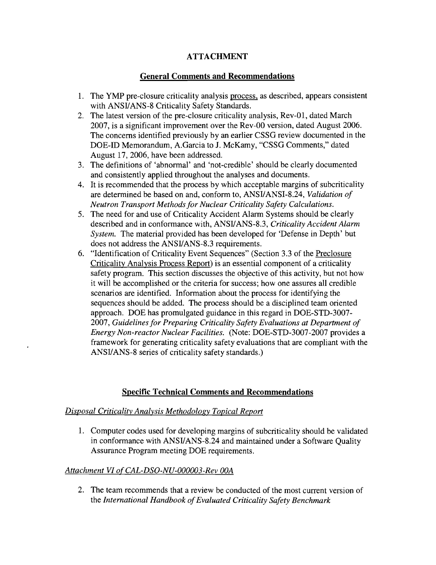## **ATTACHMENT**

## **General Comments and Recommendations**

- 1. The YMP pre-closure criticality analysis process, as described, appears consistent with ANSUANS-8 Criticality Safety Standards.
- 2. The latest version of the pre-closure criticality analysis, Rev-01, dated March 2007, is a significant improvement over the Rev-00 version, dated August 2006. The concerns identified previously by an earlier CSSG review documented in the DOE-ID Memorandum, A.Garcia to J. McKamy, "CSSG Comments," dated August 17,2006, have been addressed.
- 3. The definitions of 'abnormal' and 'not-credible' should be clearly documented and consistently applied throughout the analyses and documents.
- 4. It is recommended that the process by which acceptable margins of subcriticality are determined be based on and, conform to, ANSUANSI-8.24, *Validation of Neutron Transport Methods for Nuclear Criticality Safety Calculations.*
- 5. The need for and use of Criticality Accident Alarm Systems should be clearly described and in conformance with, ANSUANS-8.3, *Criticality Accident Alarm System.* The material provided has been developed for 'Defense in Depth' but does not address the ANSUANS-8.3 requirements.
- 6. "Identification of Criticality Event Sequences" (Section 3.3 of the Preclosure Criticality Analysis Process Report) is an essential component of a criticality safety program. This section discusses the objective of this activity, but not how it will be accomplished or the criteria for success; how one assures all credible scenarios are identified. Information about the process for identifying the sequences should be added. The process should be a disciplined team oriented approach. DOE has promulgated guidance in this regard in DOE-STD-3007- 2007, *Guidelines for Preparing Criticality Safety Evaluations at Department of Energy Non-reactor Nuclear Facilities.* (Note: DOE-STD-3007-2007 provides a framework for generating criticality safety evaluations that are compliant with the ANSUANS-8 series of criticality safety standards.)

## **Specific Technical Comments and Recommendations**

#### *Disposal Criticality Analysis Methodolo~y Topical Report*

1. Computer codes used for developing margins of subcriticality should be validated in conformance with ANSUANS-8.24 and maintained under a Software Quality Assurance Program meeting DOE requirements.

#### *Attachment VZ of CAL-DSO-NU-000003-Rev OOA*

2. The team recommends that a review be conducted of the most current version of the *International Handbook of Evaluated Criticality Safety Benchmark*